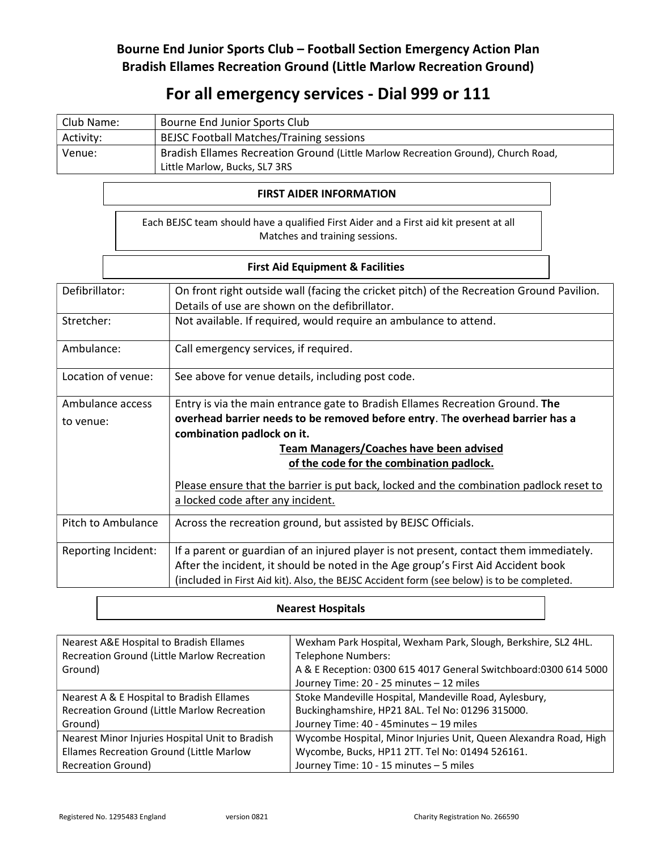## Bourne End Junior Sports Club – Football Section Emergency Action Plan Bradish Ellames Recreation Ground (Little Marlow Recreation Ground)

# For all emergency services - Dial 999 or 111

| Club Name: | Bourne End Junior Sports Club                                                     |  |
|------------|-----------------------------------------------------------------------------------|--|
| Activity:  | <b>BEJSC Football Matches/Training sessions</b>                                   |  |
| Venue:     | Bradish Ellames Recreation Ground (Little Marlow Recreation Ground), Church Road, |  |
|            | Little Marlow, Bucks, SL7 3RS                                                     |  |

### FIRST AIDER INFORMATION

|                                | Each BEJSC team should have a qualified First Aider and a First aid kit present at all |  |
|--------------------------------|----------------------------------------------------------------------------------------|--|
| Matches and training sessions. |                                                                                        |  |

## First Aid Equipment & Facilities

| Defibrillator:      | On front right outside wall (facing the cricket pitch) of the Recreation Ground Pavilion.<br>Details of use are shown on the defibrillator. |  |  |
|---------------------|---------------------------------------------------------------------------------------------------------------------------------------------|--|--|
| Stretcher:          | Not available. If required, would require an ambulance to attend.                                                                           |  |  |
| Ambulance:          | Call emergency services, if required.                                                                                                       |  |  |
| Location of venue:  | See above for venue details, including post code.                                                                                           |  |  |
| Ambulance access    | Entry is via the main entrance gate to Bradish Ellames Recreation Ground. The                                                               |  |  |
| to venue:           | overhead barrier needs to be removed before entry. The overhead barrier has a                                                               |  |  |
|                     | combination padlock on it.                                                                                                                  |  |  |
|                     | <b>Team Managers/Coaches have been advised</b>                                                                                              |  |  |
|                     | of the code for the combination padlock.                                                                                                    |  |  |
|                     | Please ensure that the barrier is put back, locked and the combination padlock reset to                                                     |  |  |
|                     | a locked code after any incident.                                                                                                           |  |  |
| Pitch to Ambulance  | Across the recreation ground, but assisted by BEJSC Officials.                                                                              |  |  |
| Reporting Incident: | If a parent or guardian of an injured player is not present, contact them immediately.                                                      |  |  |
|                     | After the incident, it should be noted in the Age group's First Aid Accident book                                                           |  |  |
|                     | (included in First Aid kit). Also, the BEJSC Accident form (see below) is to be completed.                                                  |  |  |

### Nearest Hospitals

| Nearest A&E Hospital to Bradish Ellames         | Wexham Park Hospital, Wexham Park, Slough, Berkshire, SL2 4HL.    |
|-------------------------------------------------|-------------------------------------------------------------------|
| Recreation Ground (Little Marlow Recreation     | <b>Telephone Numbers:</b>                                         |
| Ground)                                         | A & E Reception: 0300 615 4017 General Switchboard: 0300 614 5000 |
|                                                 | Journey Time: 20 - 25 minutes - 12 miles                          |
| Nearest A & E Hospital to Bradish Ellames       | Stoke Mandeville Hospital, Mandeville Road, Aylesbury,            |
| Recreation Ground (Little Marlow Recreation     | Buckinghamshire, HP21 8AL. Tel No: 01296 315000.                  |
| Ground)                                         | Journey Time: 40 - 45 minutes - 19 miles                          |
| Nearest Minor Injuries Hospital Unit to Bradish | Wycombe Hospital, Minor Injuries Unit, Queen Alexandra Road, High |
| Ellames Recreation Ground (Little Marlow        | Wycombe, Bucks, HP11 2TT. Tel No: 01494 526161.                   |
| <b>Recreation Ground)</b>                       | Journey Time: 10 - 15 minutes - 5 miles                           |
|                                                 |                                                                   |